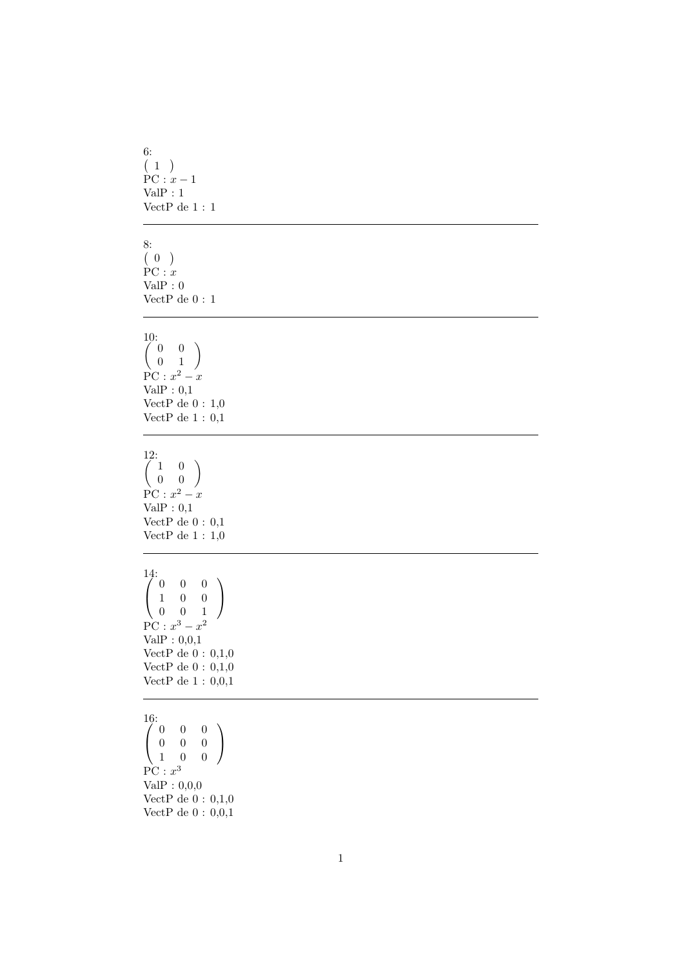```
6: (1)PC: x-1ValP : 1
VectP de 1 : 1
```

```
8: (0)PC: xValP : 0
VectP\mathrm{de}\:0 : 1
```
## $\begin{pmatrix} 10: \\ 0 & 0 \end{pmatrix}$ 0 1  $\setminus$  $PC: x^2 - x$  $ValP: 0,1$ VectP de  $0$  :  $1,\!0$ VectP de  $1:0,1$

 $\begin{pmatrix} 12 \\ 1 \\ 0 \end{pmatrix}$ 0 0  $\setminus$  $PC: x^2 - x$ Val $P: 0,1$ VectP de  $0:0,1$ VectP de  $1: 1,0$ 

 $\int$ 0 0 0 1 0 0  $\begin{pmatrix} 1 & 0 & 0 \\ 0 & 0 & 1 \end{pmatrix}$  $\bigg)$  $PC: x^3 - x^2$ ValP : 0,0,1 VectP de  $0: 0,1,0$ VectP de  $0: 0,1,0$ VectP de 1 : 0,0,1

 $\begin{pmatrix} 16: \\ 0 \ 0 \end{pmatrix}$  $0 \quad 0$ 0 0 0 1 0 0  $\bigg)$  $PC: x^3$ ValP : 0,0,0 VectP de  $0: 0,1,0$ VectP de  $0: 0,0,1$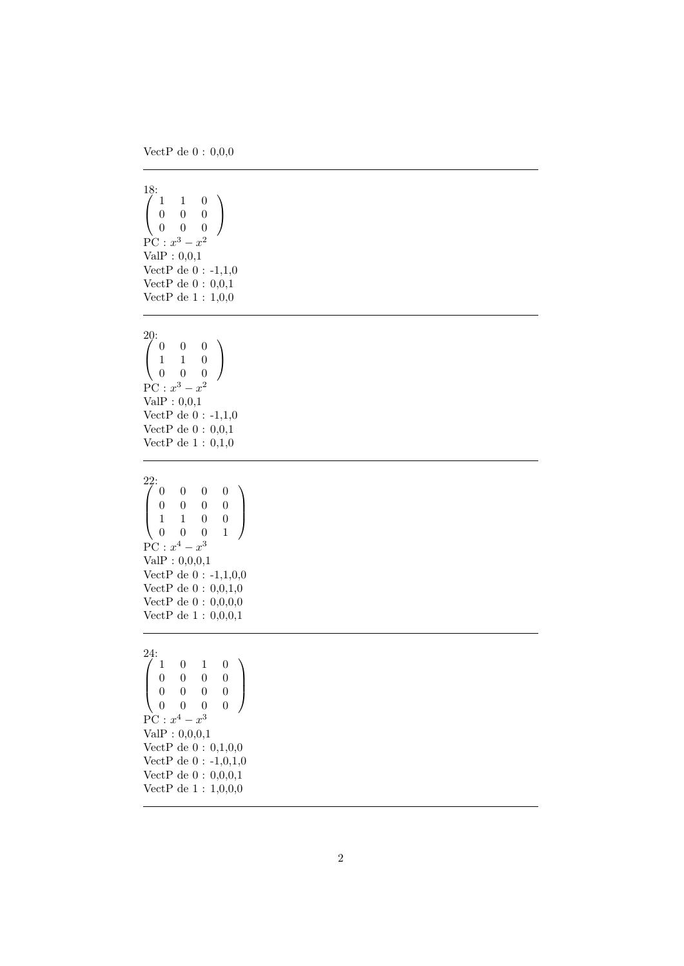VectP de  $0: 0,0,0$ 

```
\frac{18}{1}1 1 0
   0 0 0
 \begin{pmatrix} 0 & 0 & 0 \end{pmatrix}\bigg)PC: x^3 - x^2ValP: 0,0,1VectP de 0 : -1,1,0
VectP de 0: 0,0,1VectP de 1 : 1,0,0
```
 $\begin{pmatrix} 20 \\ 1 \end{pmatrix}$ 0 0 0 1 1 0 0 0 0  $\bigg)$  $PC: x^3 - x^2$ ValP : 0,0,1 VectP de 0 : -1,1,0 VectP de  $0: 0,0,1$ VectP de  $1$  :  $0,\!1,\!0$ 

 $\begin{array}{c} 22: \\[-1.2mm] 0 \\[-1.2mm] 0 \\[-1.2mm] 1 \end{array}$ 0 0 0 0 0 0 0 0 1 1 0 0  $\begin{pmatrix} 0 & 0 & 0 & 1 \end{pmatrix}$  $\bigg)$  $PC: x^4 - x^3$ ValP : 0,0,0,1 VectP de  $0: -1, 1, 0, 0$ VectP de 0 : 0,0,1,0 VectP de 0 : 0,0,0,0 VectP de 1 : 0,0,0,1

## $\bigcap_{n=0}^{24}$  $0 \quad 1 \quad 0$ 0 0 0 0 0 0 0 0  $\begin{pmatrix} 0 & 0 & 0 & 0 \end{pmatrix}$  $\bigg)$  $PC: x^4 - x^3$ ValP : 0,0,0,1 VectP de 0 : 0,1,0,0 VectP de 0 : -1,0,1,0 VectP de 0 : 0,0,0,1 VectP de 1 : 1,0,0,0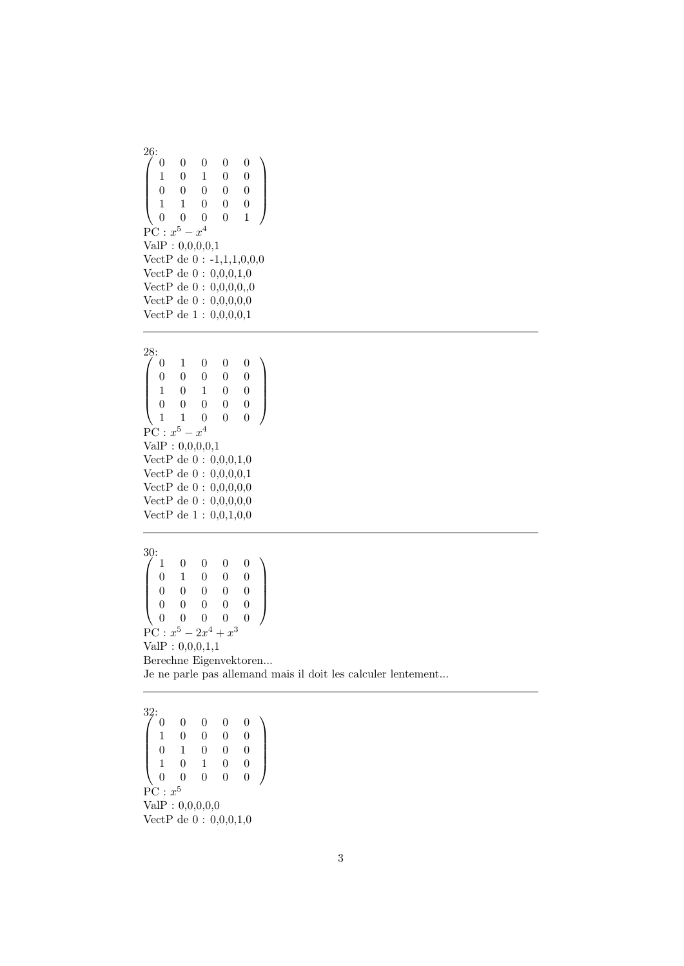$^{26:}_{/0}$  $\sqrt{ }$  $\overline{\phantom{a}}$  $\begin{matrix} 0 & 0 & 0 & 0 \end{matrix}$  $\begin{array}{cccccc}\n1 & 0 & 1 & 0 & 0 \\
0 & 0 & 0 & 0 & 0\n\end{array}$ 0 0 0 0 0  $\begin{array}{cccccc} 1 & 1 & 0 & 0 & 0 \\ 0 & 0 & 0 & 0 & 1 \end{array}$  $0 \qquad 0 \qquad 0 \qquad 1$  $\setminus$  $\Bigg\}$  $PC: x^5 - x^4$ ValP : 0,0,0,0,1 VectP de 0 : -1,1,1,0,0,0 VectP de 0 : 0,0,0,1,0 VectP de  $0: 0,0,0,0,0$ VectP de 0 : 0,0,0,0,0 VectP de 1 : 0,0,0,0,1  $^{28:}_{/0}$  $\sqrt{ }$  $\begin{array}{|c|c|} \hline \rule{0pt}{12pt} \rule{0pt}{2.5pt} \rule{0pt}{2.5pt} \rule{0pt}{2.5pt} \rule{0pt}{2.5pt} \rule{0pt}{2.5pt} \rule{0pt}{2.5pt} \rule{0pt}{2.5pt} \rule{0pt}{2.5pt} \rule{0pt}{2.5pt} \rule{0pt}{2.5pt} \rule{0pt}{2.5pt} \rule{0pt}{2.5pt} \rule{0pt}{2.5pt} \rule{0pt}{2.5pt} \rule{0pt}{2.5pt} \rule{0pt}{2.5pt} \rule{0pt}{2.5pt} \rule{0pt}{2.5$  $\begin{bmatrix} 0 & 1 & 0 & 0 & 0 \\ 0 & 0 & 0 & 0 & 0 \end{bmatrix}$ 0 0 0 0 0 1 0 1 0 0  $\begin{array}{cccccc} 0 & 0 & 0 & 0 & 0 \\ 1 & 1 & 0 & 0 & 0 \end{array}$ 1 1 0 0 0  $\setminus$  $\begin{array}{c} \hline \end{array}$  $PC: x^5 - x^4$ ValP : 0,0,0,0,1 VectP de 0 : 0,0,0,1,0 VectP de 0 : 0,0,0,0,1 VectP de 0 : 0,0,0,0,0 VectP de 0 : 0,0,0,0,0 VectP de 1 : 0,0,1,0,0  $^{30:}_{7.1}$  $\sqrt{ }$  $\overline{\phantom{a}}$ 1 0 0 0 0  $\begin{array}{cccccc} 0 & 1 & 0 & 0 & 0 \\ 0 & 0 & 0 & 0 & 0 \end{array}$  $\begin{array}{ccccccccc}\n0 & 0 & 0 & 0 & 0 \\
0 & 0 & 0 & 0 & 0\n\end{array}$  $\begin{array}{ccccccccc}\n0 & 0 & 0 & 0 & 0 \\
0 & 0 & 0 & 0 & 0\n\end{array}$  $0 \quad 0 \quad 0$  $\setminus$  $\Bigg\}$  $PC: x^5 - 2x^4 + x^3$ ValP : 0,0,0,1,1 Berechne Eigenvektoren... Je ne parle pas allemand mais il doit les calculer lentement...

 $\frac{32}{7}$  0  $\sqrt{ }$  $\overline{\phantom{a}}$  $\begin{array}{ccccccccc}\n0 & 0 & 0 & 0 & 0 \\
1 & 0 & 0 & 0 & 0\n\end{array}$  $\begin{array}{ccccccccc}\n1 & 0 & 0 & 0 & 0 \\
0 & 1 & 0 & 0 & 0\n\end{array}$  $\begin{array}{ccc} 1 & 0 & 0 \\ 0 & 1 & 0 \end{array}$  $\begin{pmatrix} 1 & 0 & 1 & 0 & 0 \\ 0 & 0 & 0 & 0 & 0 \end{pmatrix}$ 0 0 0 0 0  $\setminus$  $\Bigg\}$  $\overline{\mathrm{PC}} : x^5$  $ValP: 0,0,0,0,0$ VectP de 0 : 0,0,0,1,0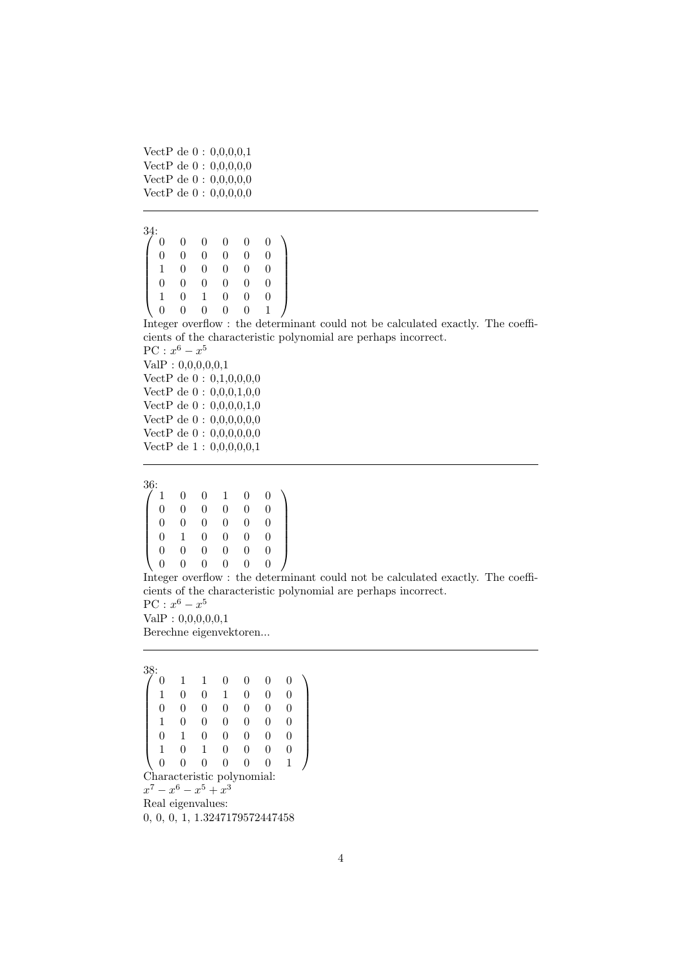```
VectP de 0 : 0,0,0,0,1
VectP de 0 : 0,0,0,0,0
VectP de 0 : 0,0,0,0,0
VectP de 0 : 0,0,0,0,0
```

```
^{34:}_{/0}\sqrt{ }\overline{\phantom{a}}0 0 0 0 0 0
       0 0 0 0 0 0
       \begin{array}{cccccccc} 1 & 0 & 0 & 0 & 0 & 0 \\ 0 & 0 & 0 & 0 & 0 & 0 \end{array}\begin{array}{ccccccccc}\n0 & 0 & 0 & 0 & 0 \\
0 & 1 & 0 & 0 & 0\n\end{array}\begin{array}{ccccccccc}\n1 & 0 & 1 & 0 & 0 & 0 \\
0 & 0 & 0 & 0 & 0 & 1\n\end{array}0 \quad 0\setminus\overline{\phantom{a}}
```
Integer overflow : the determinant could not be calculated exactly. The coefficients of the characteristic polynomial are perhaps incorrect.  $PC: x^6 - x^5$ 

ValP : 0,0,0,0,0,1 VectP de 0 : 0,1,0,0,0,0 VectP de 0 : 0,0,0,1,0,0 VectP de 0 : 0,0,0,0,1,0 VectP de 0 : 0,0,0,0,0,0 VectP de  $0: 0,0,0,0,0,0$ VectP de 1 : 0,0,0,0,0,1

 $\frac{36}{1}$  $\sqrt{ }$  $\overline{\phantom{a}}$ 1 0 0 1 0 0  $\begin{array}{ccccccc}\n0 & 0 & 0 & 0 & 0 & 0 \\
0 & 0 & 0 & 0 & 0 & 0\n\end{array}$  $\begin{array}{ccccccccc}\n0 & 0 & 0 & 0 & 0 & 0 \\
0 & 1 & 0 & 0 & 0 & 0\n\end{array}$  $\begin{array}{ccccccccc}\n0 & 1 & 0 & 0 & 0 & 0 \\
0 & 0 & 0 & 0 & 0 & 0\n\end{array}$ 0 0 0 0 0 0 0 0 0 0 0 0  $\setminus$  $\begin{array}{c} \hline \end{array}$ 

Integer overflow : the determinant could not be calculated exactly. The coefficients of the characteristic polynomial are perhaps incorrect.

 $PC: x^6 - x^5$  $ValP: 0,0,0,0,0,1$ 

Berechne eigenvektoren...

```
38:
\sqrt{ }\overline{\phantom{a}}0 1 1 0 0 0 0
     1 0 0 1 0 0 0
     \begin{matrix} 0 & 0 & 0 & 0 & 0 & 0 & 0 \end{matrix}\begin{array}{cccccccc} 1 & 0 & 0 & 0 & 0 & 0 & 0 \end{array}\begin{array}{ccccccccc}\n0 & 1 & 0 & 0 & 0 & 0 & 0 \\
1 & 0 & 1 & 0 & 0 & 0 & 0\n\end{array}\begin{array}{cccccc}\n1 & 0 & 1 & 0 & 0 & 0 \\
0 & 0 & 0 & 0 & 0 & 0\n\end{array}0 0 0 0 0 0 1
                                                           \setminus\begin{array}{c} \hline \end{array}Characteristic polynomial:
x^7 - x^6 - x^5 + x^3Real eigenvalues:
```
0, 0, 0, 1, 1.3247179572447458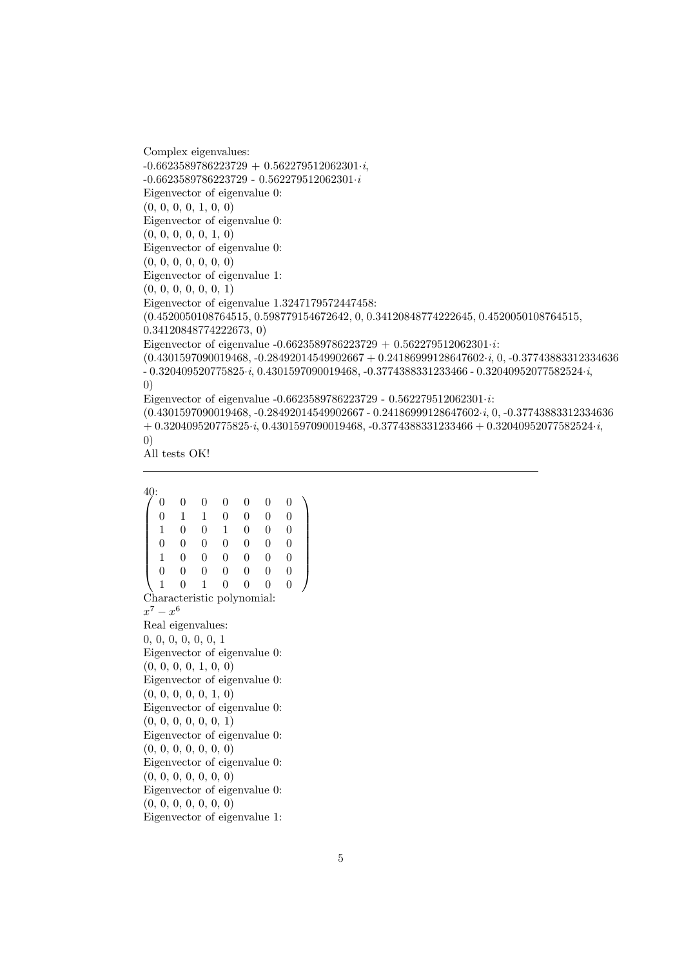Complex eigenvalues:  $-0.6623589786223729 + 0.562279512062301 \cdot i,$ -0.6623589786223729 - 0.562279512062301·i Eigenvector of eigenvalue 0: (0, 0, 0, 0, 1, 0, 0) Eigenvector of eigenvalue 0:  $(0, 0, 0, 0, 0, 1, 0)$ Eigenvector of eigenvalue 0: (0, 0, 0, 0, 0, 0, 0) Eigenvector of eigenvalue 1: (0, 0, 0, 0, 0, 0, 1) Eigenvector of eigenvalue 1.3247179572447458: (0.4520050108764515, 0.598779154672642, 0, 0.34120848774222645, 0.4520050108764515, 0.34120848774222673, 0) Eigenvector of eigenvalue  $-0.6623589786223729 + 0.562279512062301 \cdots$  $(0.4301597090019468, -0.28492014549902667 + 0.24186999128647602 \cdot i, 0, -0.37743883312334636)$  $-0.320409520775825 \cdot i, 0.4301597090019468, -0.3774388331233466 - 0.32040952077582524 \cdot i,$ 0) Eigenvector of eigenvalue  $-0.6623589786223729 - 0.562279512062301 \cdot i$ : (0.4301597090019468, -0.28492014549902667 - 0.24186999128647602·i, 0, -0.37743883312334636  $+$  0.320409520775825·i, 0.4301597090019468, -0.3774388331233466 + 0.32040952077582524·i,

0)

All tests OK!

 $\frac{40}{6}$  $\sqrt{ }$  $\overline{\phantom{a}}$ 0 0 0 0 0 0 0 0 1 1 0 0 0 0 1 0 0 1 0 0 0 0 0 0 0 0 0 0 1 0 0 0 0 0 0 0 0 0 0 0 0 0 1 0 1 0 0 0 0  $\setminus$  $\begin{array}{c} \hline \end{array}$ Characteristic polynomial:  $x^7 - x^6$ Real eigenvalues: 0, 0, 0, 0, 0, 0, 1 Eigenvector of eigenvalue 0: (0, 0, 0, 0, 1, 0, 0) Eigenvector of eigenvalue 0: (0, 0, 0, 0, 0, 1, 0) Eigenvector of eigenvalue 0: (0, 0, 0, 0, 0, 0, 1) Eigenvector of eigenvalue 0: (0, 0, 0, 0, 0, 0, 0) Eigenvector of eigenvalue 0: (0, 0, 0, 0, 0, 0, 0) Eigenvector of eigenvalue 0: (0, 0, 0, 0, 0, 0, 0) Eigenvector of eigenvalue 1: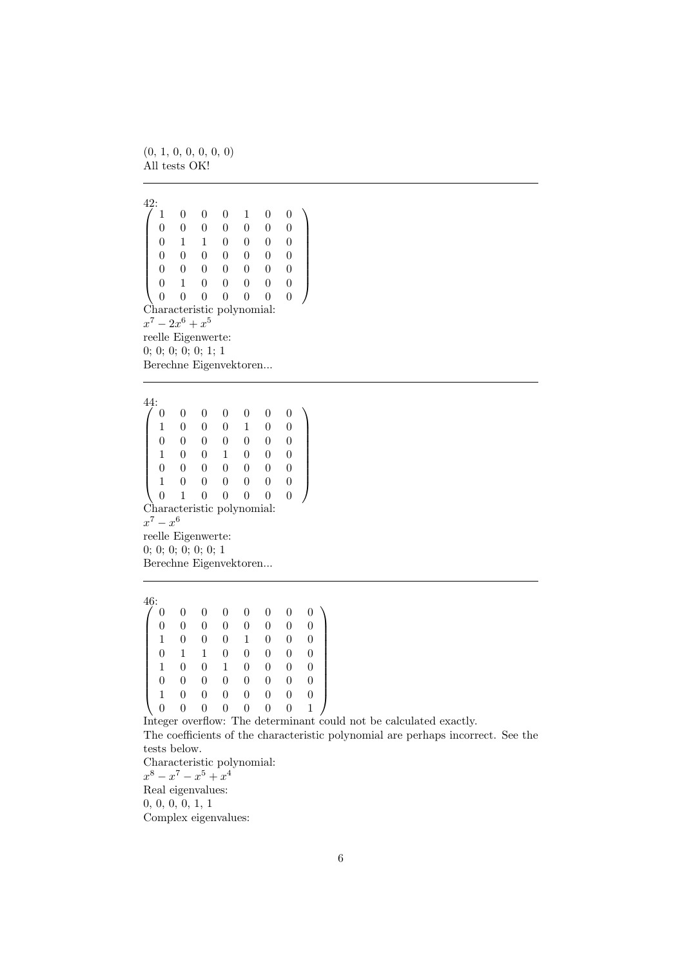(0, 1, 0, 0, 0, 0, 0) All tests OK!

 $\frac{42}{7}$ :  $\sqrt{ }$  $\overline{\phantom{a}}$ 1 0 0 0 1 0 0 0 0 0 0 0 0 0 0 1 1 0 0 0 0  $\begin{array}{cccccccc} 0 & 0 & 0 & 0 & 0 & 0 & 0 \\ 0 & 0 & 0 & 0 & 0 & 0 & 0 \end{array}$  $\begin{array}{cccccccc} 0 & 0 & 0 & 0 & 0 & 0 & 0 \\ 0 & 1 & 0 & 0 & 0 & 0 & 0 \end{array}$ 0 1 0 0 0 0 0 0 0 0 0 0 0 0 Characteristic polynomial:  $x^7 - 2x^6 + x^5$ reelle Eigenwerte: 0; 0; 0; 0; 0; 1; 1 Berechne Eigenvektoren...

 $\setminus$ 

 $\begin{array}{c} \hline \end{array}$ 

 $^{44:}_{/0}$  $\sqrt{ }$  $\overline{\phantom{a}}$ 0 0 0 0 0 0 0 1 0 0 0 1 0 0  $\begin{matrix} 0 & 0 & 0 & 0 & 0 & 0 & 0 \end{matrix}$  $\begin{array}{cccccccccccc} 1 & 0 & 0 & 1 & 0 & 0 & 0 \end{array}$ 0 0 0 0 0 0 0 1 0 0 0 0 0 0 0 1 0 0 0 0 0  $\setminus$  $\begin{array}{c} \hline \end{array}$ Characteristic polynomial:  $x^7 - x^6$ reelle Eigenwerte: 0; 0; 0; 0; 0; 0; 1 Berechne Eigenvektoren...

 $\frac{46}{7}$  0  $\sqrt{ }$  $\begin{array}{|c|c|} \hline \rule{0pt}{12pt} \rule{0pt}{2.5pt} \rule{0pt}{2.5pt} \rule{0pt}{2.5pt} \rule{0pt}{2.5pt} \rule{0pt}{2.5pt} \rule{0pt}{2.5pt} \rule{0pt}{2.5pt} \rule{0pt}{2.5pt} \rule{0pt}{2.5pt} \rule{0pt}{2.5pt} \rule{0pt}{2.5pt} \rule{0pt}{2.5pt} \rule{0pt}{2.5pt} \rule{0pt}{2.5pt} \rule{0pt}{2.5pt} \rule{0pt}{2.5pt} \rule{0pt}{2.5pt} \rule{0pt}{2.5$ 0 0 0 0 0 0 0 0 0 0 0 0 0 0 0 0  $\begin{array}{cccccccc} 1 & 0 & 0 & 0 & 1 & 0 & 0 & 0 \\ 0 & 1 & 1 & 0 & 0 & 0 & 0 & 0 \\ 1 & 0 & 0 & 1 & 0 & 0 & 0 & 0 \end{array}$ 0 1 1 0 0 0 0 0 1 0 0 1 0 0 0 0 0 0 0 0 0 0 0 0 1 0 0 0 0 0 0 0 0 0 0 0 0 0 0 1  $\setminus$  $\begin{array}{c} \hline \end{array}$ 

Integer overflow: The determinant could not be calculated exactly. The coefficients of the characteristic polynomial are perhaps incorrect. See the

tests below.

Characteristic polynomial:  $x^8 - x^7 - x^5 + x^4$ Real eigenvalues: 0, 0, 0, 0, 1, 1 Complex eigenvalues: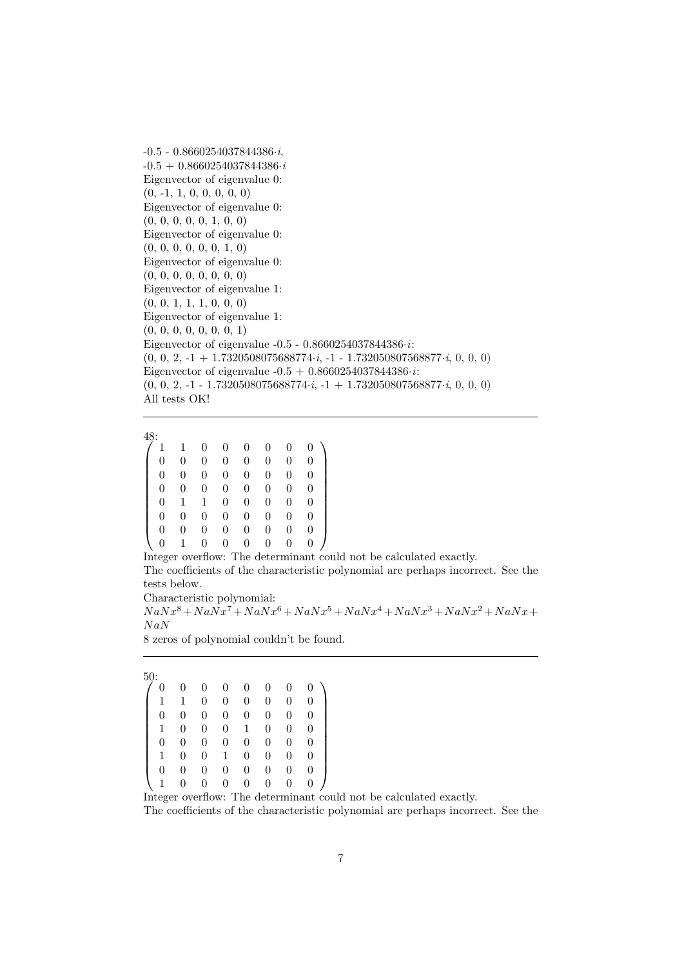-0.5 - 0.8660254037844386·i,  $-0.5 + 0.8660254037844386 \cdot i$ Eigenvector of eigenvalue 0: (0, -1, 1, 0, 0, 0, 0, 0) Eigenvector of eigenvalue 0:  $(0, 0, 0, 0, 0, 1, 0, 0)$ Eigenvector of eigenvalue 0:  $(0, 0, 0, 0, 0, 0, 1, 0)$ Eigenvector of eigenvalue 0: (0, 0, 0, 0, 0, 0, 0, 0) Eigenvector of eigenvalue 1: (0, 0, 1, 1, 1, 0, 0, 0) Eigenvector of eigenvalue 1:  $(0, 0, 0, 0, 0, 0, 0, 1)$ Eigenvector of eigenvalue  $-0.5 - 0.8660254037844386 \cdot i$ :  $(0, 0, 2, -1 + 1.7320508075688774 \cdot i, -1 - 1.732050807568877 \cdot i, 0, 0, 0)$ Eigenvector of eigenvalue  $-0.5 + 0.8660254037844386 \cdot i$ :  $(0, 0, 2, -1 - 1.7320508075688774 \cdot i, -1 + 1.732050807568877 \cdot i, 0, 0, 0)$ All tests OK!

```
\frac{48}{7}:
\sqrt{ }\begin{array}{c} \begin{array}{c} \begin{array}{c} \begin{array}{c} \end{array} \\ \end{array} \end{array} \end{array}1 1 0 0 0 0 0 0
     0 0 0 0 0 0 0 0
     \begin{array}{cccccccccccc} 0 & 0 & 0 & 0 & 0 & 0 & 0 & 0 \\ 0 & 0 & 0 & 0 & 0 & 0 & 0 & 0 \end{array}\begin{array}{cccccccc} 0 & 0 & 0 & 0 & 0 & 0 & 0 & 0 \\ 0 & 1 & 1 & 0 & 0 & 0 & 0 & 0 \end{array}0 1 1 0 0 0 0 0
     0 0 0 0 0 0 0 0
     0 0 0 0 0 0 0 0
     0 1 0 0 0 0 0 0
                                                                \setminus\begin{array}{c} \hline \end{array}
```
Integer overflow: The determinant could not be calculated exactly. The coefficients of the characteristic polynomial are perhaps incorrect. See the tests below.

Characteristic polynomial:

 $N a N x^8 +N a N x^7 +N a N x^6 +N a N x^5 +N a N x^4 +N a N x^3 +N a N x^2 +N a N x +N a N x^4$  $NaN$ 

8 zeros of polynomial couldn't be found.

| 50: |   |   |          |   |   |   |   |  |
|-----|---|---|----------|---|---|---|---|--|
| 0   |   | 0 | 0        | 0 | 0 | 0 |   |  |
| 1   | 1 | 0 | $\theta$ | 0 | 0 | 0 | 0 |  |
| 0   | 0 | 0 | 0        | 0 | 0 | 0 | 0 |  |
| 1   | 0 | 0 | 0        | 1 | 0 | 0 | 0 |  |
| 0   | 0 | 0 | $\theta$ | 0 | 0 | 0 | 0 |  |
| 1   | 0 | 0 | 1        | 0 | 0 | 0 | 0 |  |
| 0   | 0 | 0 | 0        | 0 | 0 | 0 | 0 |  |
|     |   | 0 | 0        | 0 | 0 | 0 | 0 |  |

Integer overflow: The determinant could not be calculated exactly.

The coefficients of the characteristic polynomial are perhaps incorrect. See the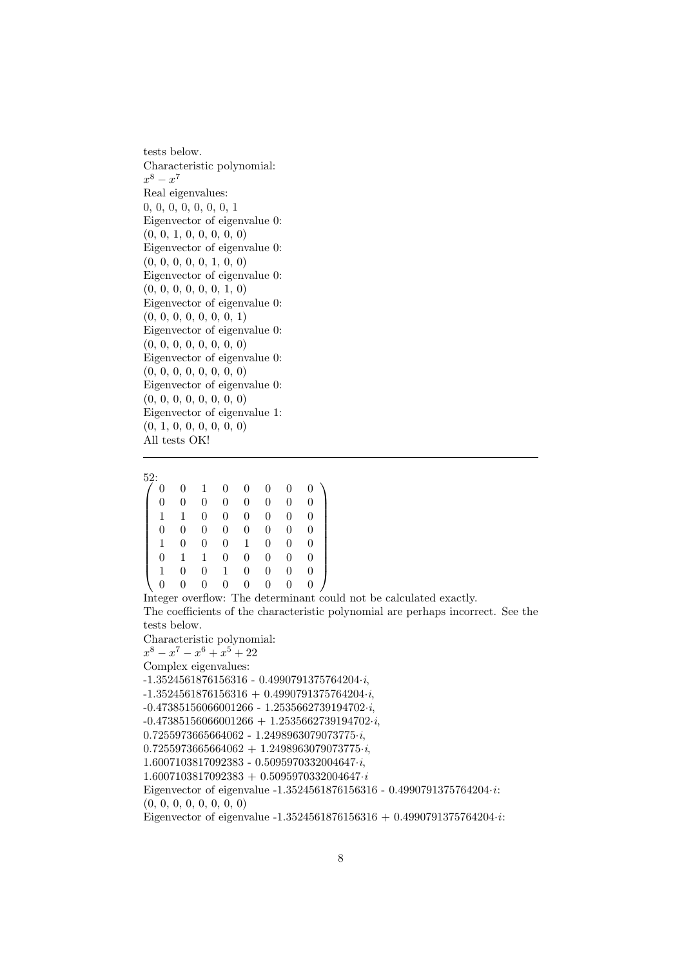tests below. Characteristic polynomial:  $x^8 - x^7$ Real eigenvalues: 0, 0, 0, 0, 0, 0, 0, 1 Eigenvector of eigenvalue 0: (0, 0, 1, 0, 0, 0, 0, 0) Eigenvector of eigenvalue 0: (0, 0, 0, 0, 0, 1, 0, 0) Eigenvector of eigenvalue 0:  $(0, 0, 0, 0, 0, 0, 1, 0)$ Eigenvector of eigenvalue 0: (0, 0, 0, 0, 0, 0, 0, 1) Eigenvector of eigenvalue 0: (0, 0, 0, 0, 0, 0, 0, 0) Eigenvector of eigenvalue 0: (0, 0, 0, 0, 0, 0, 0, 0) Eigenvector of eigenvalue 0: (0, 0, 0, 0, 0, 0, 0, 0) Eigenvector of eigenvalue 1: (0, 1, 0, 0, 0, 0, 0, 0) All tests OK!

52:

|   |   |   | 0                | 0 | 0              | 0 |   |
|---|---|---|------------------|---|----------------|---|---|
| 0 | 0 | 0 | $\boldsymbol{0}$ | 0 | 0              | 0 | 0 |
| 1 | 1 | 0 | 0                | 0 | $\overline{0}$ | 0 | 0 |
| 0 | 0 | 0 | 0                | 0 | 0              | 0 | 0 |
|   | 0 | 0 | 0                | 1 | 0              | 0 | 0 |
| 0 | 1 | 1 | 0                | 0 | 0              | 0 | 0 |
|   | 0 | 0 |                  | 0 | 0              | 0 | 0 |
| 0 | 0 | 0 | 0                | 0 | 0              | 0 | 0 |

Integer overflow: The determinant could not be calculated exactly. The coefficients of the characteristic polynomial are perhaps incorrect. See the tests below.

Characteristic polynomial:  $x^8 - x^7 - x^6 + x^5 + 22$ Complex eigenvalues: -1.3524561876156316 - 0.4990791375764204·i,  $-1.3524561876156316 + 0.4990791375764204 \cdot i,$ -0.47385156066001266 - 1.2535662739194702·i,  $-0.47385156066001266 + 1.2535662739194702 \cdot i,$  $0.7255973665664062 - 1.2498963079073775 \cdot i,$  $0.7255973665664062 + 1.2498963079073775 \cdot i,$ 1.6007103817092383 - 0.5095970332004647·i,  $1.6007103817092383 + 0.5095970332004647 \cdot i$ Eigenvector of eigenvalue -1.3524561876156316 - 0.4990791375764204·i: (0, 0, 0, 0, 0, 0, 0, 0) Eigenvector of eigenvalue  $-1.3524561876156316 + 0.4990791375764204 \cdot i$ :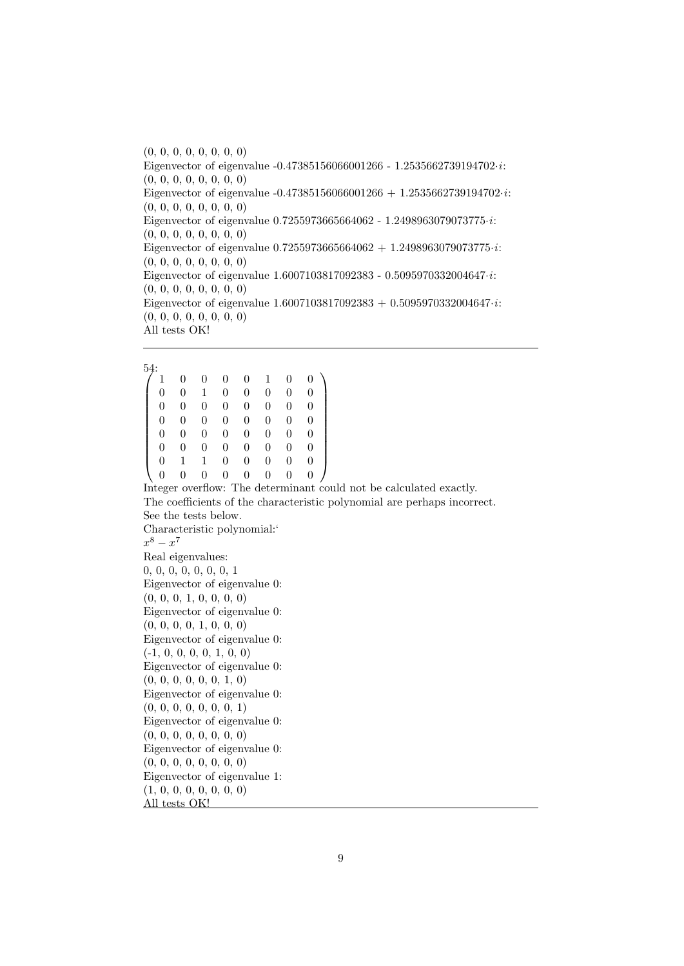(0, 0, 0, 0, 0, 0, 0, 0) Eigenvector of eigenvalue -0.47385156066001266 - 1.2535662739194702·i: (0, 0, 0, 0, 0, 0, 0, 0) Eigenvector of eigenvalue  $-0.47385156066001266 + 1.2535662739194702 \cdot i$ : (0, 0, 0, 0, 0, 0, 0, 0) Eigenvector of eigenvalue  $0.7255973665664062 - 1.2498963079073775 \cdot i$ : (0, 0, 0, 0, 0, 0, 0, 0) Eigenvector of eigenvalue  $0.725597366564062 + 1.2498963079073775 \cdot i$ : (0, 0, 0, 0, 0, 0, 0, 0) Eigenvector of eigenvalue 1.6007103817092383 - 0.5095970332004647·i: (0, 0, 0, 0, 0, 0, 0, 0) Eigenvector of eigenvalue  $1.6007103817092383 + 0.5095970332004647 \cdot i$ : (0, 0, 0, 0, 0, 0, 0, 0) All tests OK!

 $^{54:}$  $\sqrt{ }$  $\overline{\phantom{a}}$ 1 0 0 0 0 1 0 0 0 0 1 0 0 0 0 0 0 0 0 0 0 0 0 0 0 0 0 0 0 0 0 0 0 0 0 0 0 0 0 0 0 0 0 0 0 0 0 0 0 1 1 0 0 0 0 0 0 0 0 0 0 0 0 0  $\setminus$  $\overline{\phantom{a}}$ Integer overflow: The determinant could not be calculated exactly. The coefficients of the characteristic polynomial are perhaps incorrect. See the tests below. Characteristic polynomial:'  $x^8 - x^7$ Real eigenvalues: 0, 0, 0, 0, 0, 0, 0, 1 Eigenvector of eigenvalue 0: (0, 0, 0, 1, 0, 0, 0, 0) Eigenvector of eigenvalue 0: (0, 0, 0, 0, 1, 0, 0, 0) Eigenvector of eigenvalue 0:  $(-1, 0, 0, 0, 0, 1, 0, 0)$ Eigenvector of eigenvalue 0:  $(0, 0, 0, 0, 0, 0, 1, 0)$ Eigenvector of eigenvalue 0: (0, 0, 0, 0, 0, 0, 0, 1) Eigenvector of eigenvalue 0: (0, 0, 0, 0, 0, 0, 0, 0) Eigenvector of eigenvalue 0: (0, 0, 0, 0, 0, 0, 0, 0) Eigenvector of eigenvalue 1: (1, 0, 0, 0, 0, 0, 0, 0) All tests OK!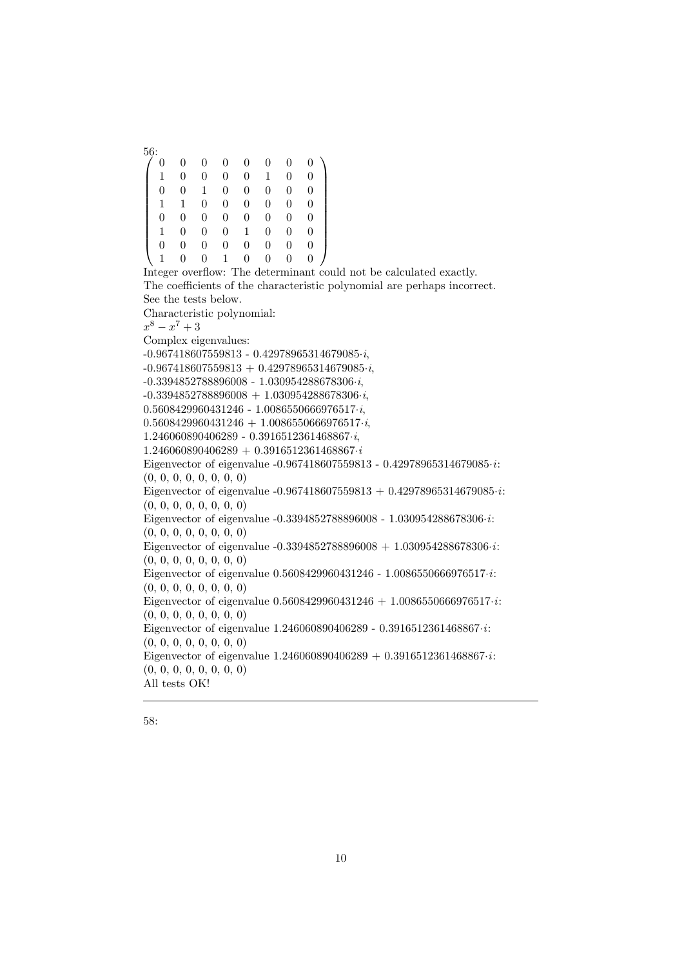$^{56:}_{7.0}$  $\sqrt{ }$  $\begin{array}{c} \begin{array}{c} \begin{array}{c} \begin{array}{c} \end{array} \\ \end{array} \end{array} \end{array}$ 0 0 0 0 0 0 0 0 1 0 0 0 0 1 0 0 0 0 1 0 0 0 0 0 1 1 0 0 0 0 0 0 0 0 0 0 0 0 0 0 1 0 0 0 1 0 0 0 0 0 0 0 0 0 0 0 1 0 0 1 0 0 0 0  $\setminus$  $\begin{array}{c} \hline \end{array}$ Integer overflow: The determinant could not be calculated exactly. The coefficients of the characteristic polynomial are perhaps incorrect. See the tests below. Characteristic polynomial:  $x^8 - x^7 + 3$ Complex eigenvalues: -0.967418607559813 - 0.42978965314679085·i,  $-0.967418607559813 + 0.42978965314679085 \cdot i,$ -0.3394852788896008 - 1.030954288678306·i,  $-0.3394852788896008 + 1.030954288678306 \cdot i,$  $0.5608429960431246 - 1.0086550666976517 \cdot i,$  $0.5608429960431246 + 1.0086550666976517 \cdot i,$ 1.246060890406289 - 0.3916512361468867·i,  $1.246060890406289 + 0.3916512361468867 \cdot i$ Eigenvector of eigenvalue -0.967418607559813 - 0.42978965314679085·i: (0, 0, 0, 0, 0, 0, 0, 0) Eigenvector of eigenvalue -0.967418607559813 + 0.42978965314679085 $\cdot i$ : (0, 0, 0, 0, 0, 0, 0, 0) Eigenvector of eigenvalue -0.3394852788896008 - 1.030954288678306·i: (0, 0, 0, 0, 0, 0, 0, 0) Eigenvector of eigenvalue  $-0.3394852788896008 + 1.030954288678306 \cdot i$ : (0, 0, 0, 0, 0, 0, 0, 0) Eigenvector of eigenvalue  $0.5608429960431246 - 1.0086550666976517 \cdot i$ : (0, 0, 0, 0, 0, 0, 0, 0) Eigenvector of eigenvalue  $0.5608429960431246 + 1.0086550666976517 \cdot i$ : (0, 0, 0, 0, 0, 0, 0, 0) Eigenvector of eigenvalue 1.246060890406289 - 0.3916512361468867·i: (0, 0, 0, 0, 0, 0, 0, 0) Eigenvector of eigenvalue  $1.246060890406289 + 0.3916512361468867 \cdot i$ : (0, 0, 0, 0, 0, 0, 0, 0) All tests OK!

$$
58:
$$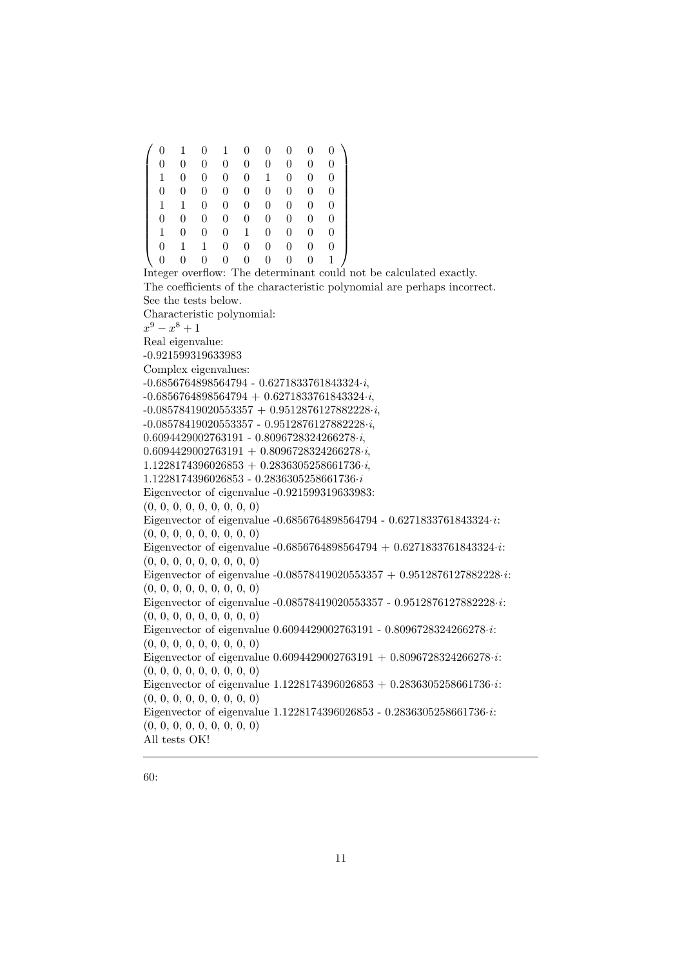$\sqrt{ }$  0 1 0 1 0 0 0 0 0 0 0 0 0 0 0 0 0 0 1 0 0 0 0 1 0 0 0 0 0 0 0 0 0 0 0 0 1 1 0 0 0 0 0 0 0 0 0 0 0 0 0 0 0 0 1 0 0 0 1 0 0 0 0 0 1 1 0 0 0 0 0 0 0 0 0 0 0 0 0 0 1  $\setminus$  $\overline{\phantom{a}}$ Integer overflow: The determinant could not be calculated exactly. The coefficients of the characteristic polynomial are perhaps incorrect. See the tests below. Characteristic polynomial:  $x^9 - x^8 + 1$ Real eigenvalue: -0.921599319633983 Complex eigenvalues: -0.6856764898564794 - 0.6271833761843324·i,  $-0.6856764898564794 + 0.6271833761843324 \cdot i,$  $-0.08578419020553357 + 0.9512876127882228 \cdot i,$  $-0.08578419020553357 - 0.9512876127882228 \cdot i$ 0.6094429002763191 - 0.8096728324266278·i,  $0.6094429002763191 + 0.8096728324266278 \cdot i,$  $1.1228174396026853 + 0.2836305258661736 \cdot i,$ 1.1228174396026853 - 0.2836305258661736·i Eigenvector of eigenvalue -0.921599319633983: (0, 0, 0, 0, 0, 0, 0, 0, 0) Eigenvector of eigenvalue -0.6856764898564794 - 0.6271833761843324·i: (0, 0, 0, 0, 0, 0, 0, 0, 0) Eigenvector of eigenvalue  $-0.6856764898564794 + 0.6271833761843324 \cdot i$ : (0, 0, 0, 0, 0, 0, 0, 0, 0) Eigenvector of eigenvalue  $-0.08578419020553357 + 0.9512876127882228 \cdot i$ : (0, 0, 0, 0, 0, 0, 0, 0, 0) Eigenvector of eigenvalue -0.08578419020553357 - 0.9512876127882228·i: (0, 0, 0, 0, 0, 0, 0, 0, 0) Eigenvector of eigenvalue 0.6094429002763191 - 0.8096728324266278·i: (0, 0, 0, 0, 0, 0, 0, 0, 0) Eigenvector of eigenvalue  $0.6094429002763191 + 0.8096728324266278 \cdot i$ : (0, 0, 0, 0, 0, 0, 0, 0, 0) Eigenvector of eigenvalue  $1.1228174396026853 + 0.2836305258661736 \cdot i$ : (0, 0, 0, 0, 0, 0, 0, 0, 0) Eigenvector of eigenvalue  $1.1228174396026853 - 0.2836305258661736 \cdot i$ : (0, 0, 0, 0, 0, 0, 0, 0, 0) All tests OK!

60: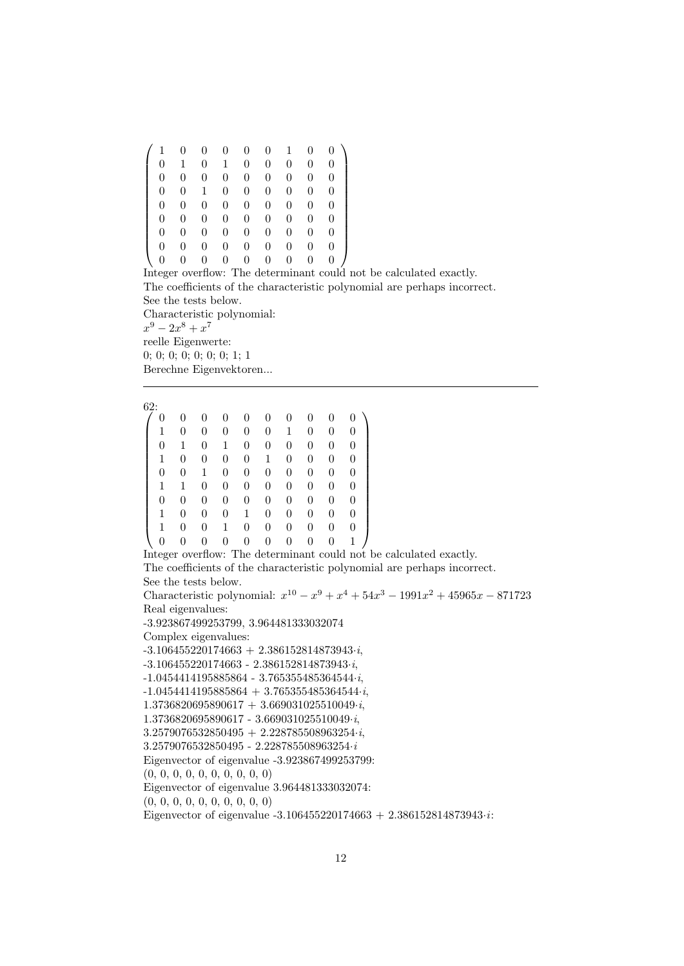|   | 0 | 0 | 0 | 0 | 0 |   |   |   |
|---|---|---|---|---|---|---|---|---|
| 0 | 1 | 0 | 1 | 0 | 0 | 0 | 0 | 0 |
| 0 | 0 | 0 | 0 | 0 | 0 | 0 | 0 | 0 |
| 0 | 0 | 1 | 0 | 0 | 0 | 0 | 0 | 0 |
| 0 | 0 | 0 | 0 | 0 | 0 | 0 | 0 | 0 |
| 0 | 0 | 0 | 0 | 0 | 0 | 0 | 0 | 0 |
| 0 | 0 | 0 | 0 | 0 | 0 | 0 | 0 | 0 |
| 0 | 0 | 0 | 0 | 0 | 0 | 0 | 0 | 0 |
|   | 0 | 0 | 0 | 0 | 0 | 0 | 0 | 0 |

Integer overflow: The determinant could not be calculated exactly. The coefficients of the characteristic polynomial are perhaps incorrect. See the tests below. Characteristic polynomial:

 $x^9 - 2x^8 + x^7$ reelle Eigenwerte: 0; 0; 0; 0; 0; 0; 0; 1; 1 Berechne Eigenvektoren...

| 62: |   |            |   |        |   |   |                |     |                |  |
|-----|---|------------|---|--------|---|---|----------------|-----|----------------|--|
| 0   | 0 | 0          | 0 | 0      | 0 | 0 | 0              | 0   | 0              |  |
| 1   | 0 | 0          | 0 | 0      | 0 | 1 | 0              | 0   | $\overline{0}$ |  |
| 0   | 1 | 0          | 1 | 0      | 0 | 0 | 0              | 0   | 0              |  |
| 1   | 0 | 0          | 0 | 0      | 1 | 0 | $\overline{0}$ | 0   | 0              |  |
| 0   | 0 | 1          | 0 | 0      | 0 | 0 | 0              | 0   | $\overline{0}$ |  |
| 1   | 1 | 0          | 0 | 0      | 0 | 0 | 0              | 0   | 0              |  |
| 0   | 0 | 0          | 0 | 0      | 0 | 0 | 0              | 0   | 0              |  |
| 1   | 0 | 0          | 0 | 1      | 0 | 0 | 0              | 0   | $\overline{0}$ |  |
| 1   | 0 | 0          | 1 | 0      | 0 | 0 | 0              | 0   | 0              |  |
| 0   | 0 | 0          | 0 | 0      | 0 | 0 | 0              | 0   | 1              |  |
|     |   | $\sqrt{2}$ |   | $\sim$ | ۰ | ٠ |                | . . |                |  |

Integer overflow: The determinant could not be calculated exactly. The coefficients of the characteristic polynomial are perhaps incorrect.

See the tests below.

Characteristic polynomial:  $x^{10} - x^9 + x^4 + 54x^3 - 1991x^2 + 45965x - 871723$ Real eigenvalues:

-3.923867499253799, 3.964481333032074

Complex eigenvalues:

 $-3.106455220174663 + 2.386152814873943 \cdot i,$ 

-3.106455220174663 - 2.386152814873943·i,

-1.0454414195885864 - 3.765355485364544·i,

 $-1.0454414195885864 + 3.765355485364544 \cdot i,$ 

 $1.3736820695890617 + 3.669031025510049 \cdot i,$ 

1.3736820695890617 - 3.669031025510049·i,

 $3.2579076532850495 + 2.228785508963254 \cdot i,$ 

3.2579076532850495 - 2.228785508963254·i

Eigenvector of eigenvalue -3.923867499253799:

(0, 0, 0, 0, 0, 0, 0, 0, 0, 0)

Eigenvector of eigenvalue 3.964481333032074:

(0, 0, 0, 0, 0, 0, 0, 0, 0, 0)

Eigenvector of eigenvalue -3.106455220174663 + 2.386152814873943·i: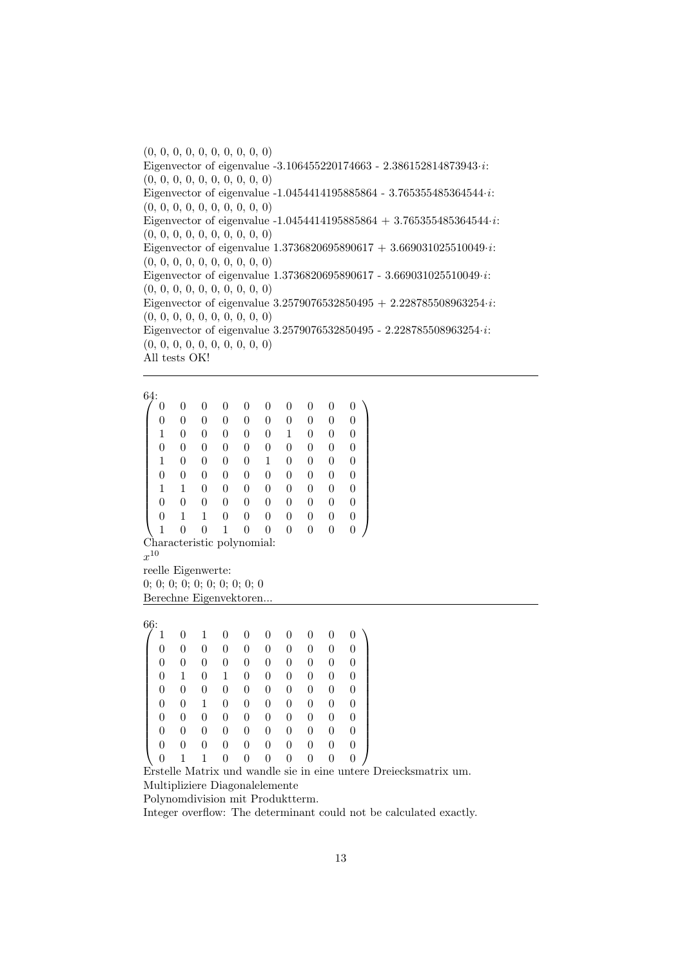(0, 0, 0, 0, 0, 0, 0, 0, 0, 0) Eigenvector of eigenvalue -3.106455220174663 - 2.386152814873943·i: (0, 0, 0, 0, 0, 0, 0, 0, 0, 0) Eigenvector of eigenvalue -1.0454414195885864 - 3.765355485364544·i: (0, 0, 0, 0, 0, 0, 0, 0, 0, 0) Eigenvector of eigenvalue  $-1.0454414195885864 + 3.765355485364544 \cdot i$ : (0, 0, 0, 0, 0, 0, 0, 0, 0, 0) Eigenvector of eigenvalue  $1.3736820695890617 + 3.669031025510049 \cdot i$ : (0, 0, 0, 0, 0, 0, 0, 0, 0, 0) Eigenvector of eigenvalue 1.3736820695890617 - 3.669031025510049·i: (0, 0, 0, 0, 0, 0, 0, 0, 0, 0) Eigenvector of eigenvalue  $3.2579076532850495 + 2.228785508963254 \cdot i$ : (0, 0, 0, 0, 0, 0, 0, 0, 0, 0) Eigenvector of eigenvalue 3.2579076532850495 - 2.228785508963254·i: (0, 0, 0, 0, 0, 0, 0, 0, 0, 0) All tests OK!

 $^{64:}_{/0}$  $\sqrt{ }$  0 0 0 0 0 0 0 0 0 0 0 0 0 0 0 0 0 0 0 0 1 0 0 0 0 0 1 0 0 0 0 0 0 0 0 0 0 0 0 0 1 0 0 0 0 1 0 0 0 0 0 0 0 0 0 0 0 0 0 0 1 1 0 0 0 0 0 0 0 0 0 0 0 0 0 0 0 0 0 0 0 1 1 0 0 0 0 0 0 0 1 0 0 1 0 0 0 0 0 0  $\setminus$  Characteristic polynomial:  $x^{10}$ reelle Eigenwerte: 0; 0; 0; 0; 0; 0; 0; 0; 0; 0

Berechne Eigenvektoren...

 $^{66:}$  1  $\sqrt{ }$  1 0 1 0 0 0 0 0 0 0 0 0 0 0 0 0 0 0 0 0 0 0 0 0 0 0 0 0 0 0 0 1 0 1 0 0 0 0 0 0 0 0 0 0 0 0 0 0 0 0 0 0 1 0 0 0 0 0 0 0 0 0 0 0 0 0 0 0 0 0 0 0 0 0 0 0 0 0 0 0

0 0 0 0 0 0 0 0 0 0

0 1 1 0 0 0 0 0 0 0 Erstelle Matrix und wandle sie in eine untere Dreiecksmatrix um. Multipliziere Diagonalelemente

Polynomdivision mit Produktterm.

Integer overflow: The determinant could not be calculated exactly.

 $\setminus$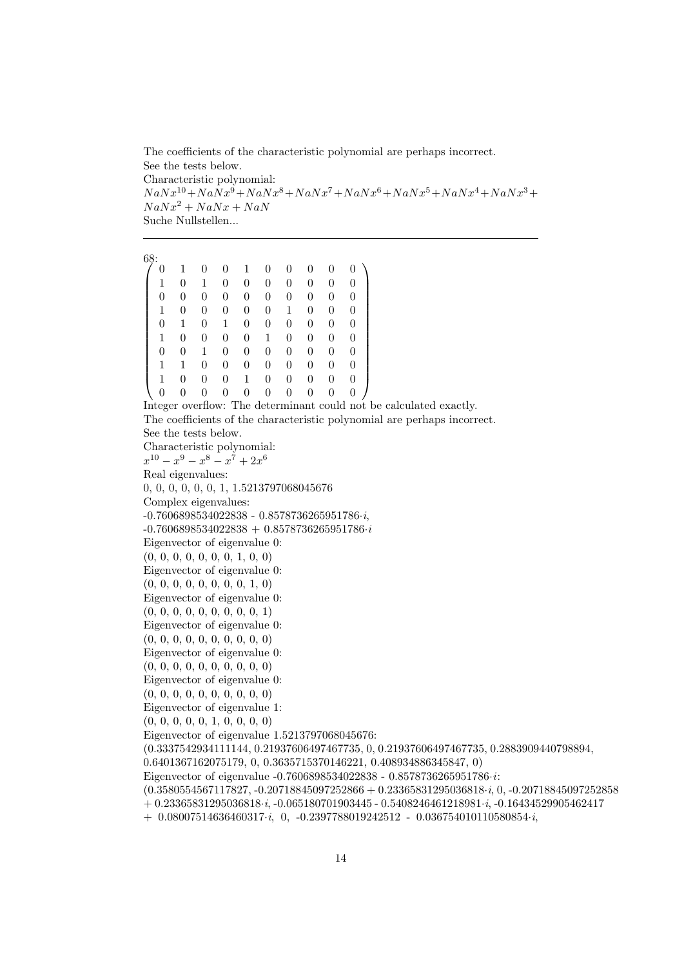The coefficients of the characteristic polynomial are perhaps incorrect. See the tests below. Characteristic polynomial:  $N a N x^{10} +N a N x^9 +N a N x^8 +N a N x^7 +N a N x^6 +N a N x^5 +N a N x^4 +N a N x^3+$  $N a N x^2 + N a N x + N a N$ Suche Nullstellen...

```
^{68:}_{7.0}\sqrt{ }
   0 1 0 0 1 0 0 0 0 0
   1 0 1 0 0 0 0 0 0 0
   0 0 0 0 0 0 0 0 0 0
  1 0 0 0 0 0 1 0 0 0
  0 1 0 1 0 0 0 0 0 0
  1 0 0 0 0 1 0 0 0 0
  0 0 1 0 0 0 0 0 0 0
   1 1 0 0 0 0 0 0 0 0
   1 0 0 0 1 0 0 0 0 0
   0 0 0 0 0 0 0 0 0 0
                                        \setminus
Integer overflow: The determinant could not be calculated exactly.
The coefficients of the characteristic polynomial are perhaps incorrect.
See the tests below.
Characteristic polynomial:
x^{10} - x^9 - x^8 - x^7 + 2x^6Real eigenvalues:
0, 0, 0, 0, 0, 0, 1, 1.5213797068045676
Complex eigenvalues:
-0.7606898534022838 - 0.8578736265951786·i,
-0.7606898534022838 + 0.8578736265951786·i
Eigenvector of eigenvalue 0:
(0, 0, 0, 0, 0, 0, 0, 1, 0, 0)
Eigenvector of eigenvalue 0:
(0, 0, 0, 0, 0, 0, 0, 0, 1, 0)Eigenvector of eigenvalue 0:
(0, 0, 0, 0, 0, 0, 0, 0, 0, 1)
Eigenvector of eigenvalue 0:
(0, 0, 0, 0, 0, 0, 0, 0, 0, 0)
Eigenvector of eigenvalue 0:
(0, 0, 0, 0, 0, 0, 0, 0, 0, 0)
Eigenvector of eigenvalue 0:
(0, 0, 0, 0, 0, 0, 0, 0, 0, 0)
Eigenvector of eigenvalue 1:
(0, 0, 0, 0, 0, 1, 0, 0, 0, 0)
Eigenvector of eigenvalue 1.5213797068045676:
(0.3337542934111144, 0.21937606497467735, 0, 0.21937606497467735, 0.2883909440798894,
0.6401367162075179, 0, 0.3635715370146221, 0.408934886345847, 0)
Eigenvector of eigenvalue -0.7606898534022838 - 0.8578736265951786·i:
(0.3580554567117827, -0.20718845097252866 + 0.23365831295036818·i, 0, -0.20718845097252858
+ 0.23365831295036818·i, -0.065180701903445 - 0.5408246461218981·i, -0.16434529905462417
+ 0.08007514636460317·i, 0, -0.2397788019242512 - 0.036754010110580854·i,
```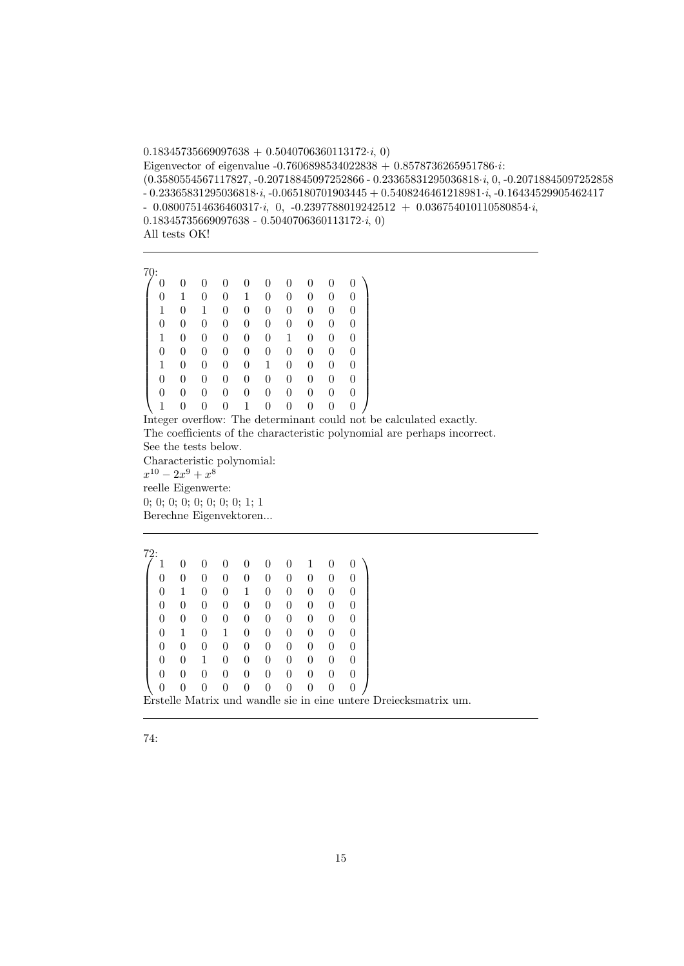$0.18345735669097638 + 0.5040706360113172 \cdot i, 0)$ Eigenvector of eigenvalue -0.7606898534022838 + 0.8578736265951786 $\cdot i$ : (0.3580554567117827, -0.20718845097252866 - 0.23365831295036818·i, 0, -0.20718845097252858 - 0.23365831295036818·i, -0.065180701903445 + 0.5408246461218981·i, -0.16434529905462417  $- 0.08007514636460317 \cdot i, 0, -0.2397788019242512 + 0.036754010110580854 \cdot i,$ 0.18345735669097638 - 0.5040706360113172 $\cdot i$ , 0) All tests OK!

 $\frac{70}{6}$  $\sqrt{ }$  0 0 0 0 0 0 0 0 0 0 0 1 0 0 1 0 0 0 0 0 1 0 1 0 0 0 0 0 0 0 0 0 0 0 0 0 0 0 0 0 1 0 0 0 0 0 1 0 0 0 0 0 0 0 0 0 0 0 0 0 1 0 0 0 0 1 0 0 0 0 0 0 0 0 0 0 0 0 0 0 0 0 0 0 0 0 0 0 0 0 1 0 0 0 1 0 0 0 0 0  $\setminus$ 

Integer overflow: The determinant could not be calculated exactly. The coefficients of the characteristic polynomial are perhaps incorrect. See the tests below.

Characteristic polynomial:  $x^{10} - 2x^9 + x^8$ reelle Eigenwerte: 0; 0; 0; 0; 0; 0; 0; 0; 1; 1 Berechne Eigenvektoren...

 $^{72:}$  $\sqrt{ }$  1 0 0 0 0 0 0 1 0 0 0 0 0 0 0 0 0 0 0 0 0 1 0 0 1 0 0 0 0 0 0 0 0 0 0 0 0 0 0 0 0 0 0 0 0 0 0 0 0 0 0 1 0 1 0 0 0 0 0 0 0 0 0 0 0 0 0 0 0 0 0 0 1 0 0 0 0 0 0 0 0 0 0 0 0 0 0 0 0 0 0 0 0 0 0 0 0 0 0 0  $\setminus$  Erstelle Matrix und wandle sie in eine untere Dreiecksmatrix um.

74: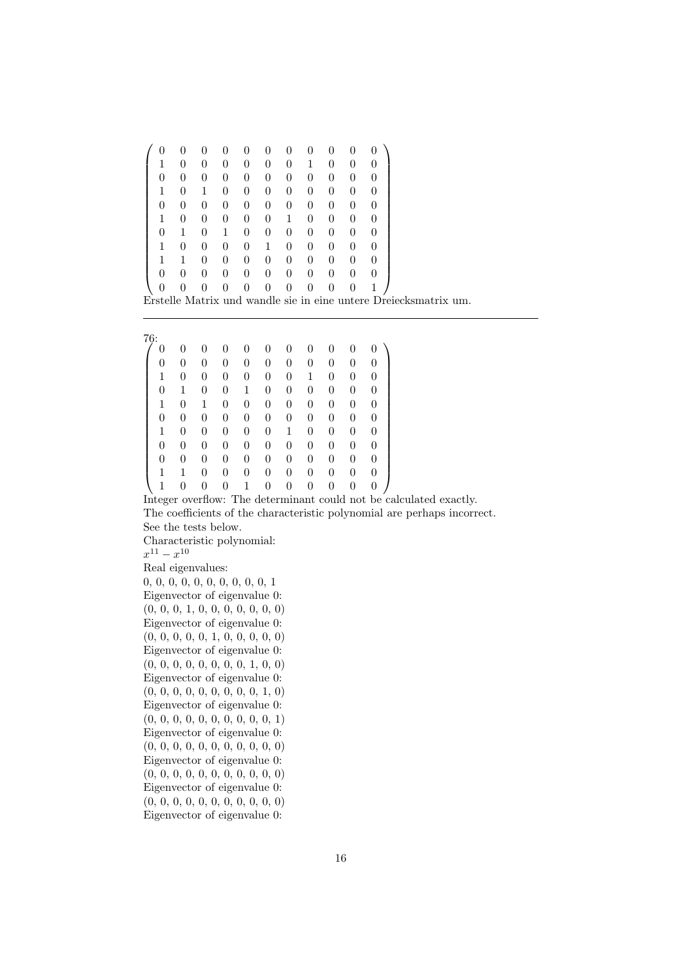|  |                  |   | $^{(1)}$ | 0            |          |                  | $\left( \right)$ |                                                                  |  |  |
|--|------------------|---|----------|--------------|----------|------------------|------------------|------------------------------------------------------------------|--|--|
|  |                  |   | 0        | $\mathbf{0}$ |          |                  | $\Omega$         |                                                                  |  |  |
|  |                  |   |          | $\mathbf{0}$ |          |                  | $\left( \right)$ |                                                                  |  |  |
|  |                  |   |          |              |          |                  | $\left( \right)$ |                                                                  |  |  |
|  |                  |   |          |              |          |                  | $\left( \right)$ |                                                                  |  |  |
|  |                  |   |          |              |          |                  | $\left( \right)$ |                                                                  |  |  |
|  |                  |   | $\Omega$ | 0            |          | $\theta$         | $\left( \right)$ |                                                                  |  |  |
|  | $\left( \right)$ |   | $\Omega$ |              | $\theta$ | 0                | $\left( \right)$ |                                                                  |  |  |
|  | $\left( \right)$ | 0 | 0        | 0            | 0        | $\left( \right)$ | $\left( \right)$ |                                                                  |  |  |
|  |                  |   | $\Omega$ | 0            |          | $\Omega$         | $\theta$         |                                                                  |  |  |
|  |                  |   | 0        | 0            |          | $\left( \right)$ |                  |                                                                  |  |  |
|  |                  |   |          |              |          |                  |                  | Erstelle Matrix und wandle sie in eine untere Dreiecksmatrix um. |  |  |
|  |                  |   |          |              |          |                  |                  |                                                                  |  |  |

 $\frac{76}{6}$  $\sqrt{ }$  0 0 0 0 0 0 0 0 0 0 0 0 0 0 0 0 0 0 0 0 0 0 1 0 0 0 0 0 0 1 0 0 0 0 1 0 0 1 0 0 0 0 0 0 1 0 1 0 0 0 0 0 0 0 0 0 0 0 0 0 0 0 0 0 0 0 1 0 0 0 0 0 1 0 0 0 0 0 0 0 0 0 0 0 0 0 0 0 0 0 0 0 0 0 0 0 0 0 0 1 1 0 0 0 0 0 0 0 0 0 1 0 0 0 1 0 0 0 0 0 0  $\setminus$  Integer overflow: The determinant could not be calculated exactly. The coefficients of the characteristic polynomial are perhaps incorrect. See the tests below. Characteristic polynomial:  $x^{11} - x^{10}$ Real eigenvalues: 0, 0, 0, 0, 0, 0, 0, 0, 0, 0, 1 Eigenvector of eigenvalue 0: (0, 0, 0, 1, 0, 0, 0, 0, 0, 0, 0) Eigenvector of eigenvalue 0: (0, 0, 0, 0, 0, 1, 0, 0, 0, 0, 0) Eigenvector of eigenvalue 0: (0, 0, 0, 0, 0, 0, 0, 0, 1, 0, 0) Eigenvector of eigenvalue 0:  $(0, 0, 0, 0, 0, 0, 0, 0, 0, 1, 0)$ Eigenvector of eigenvalue 0: (0, 0, 0, 0, 0, 0, 0, 0, 0, 0, 1) Eigenvector of eigenvalue 0: (0, 0, 0, 0, 0, 0, 0, 0, 0, 0, 0) Eigenvector of eigenvalue 0: (0, 0, 0, 0, 0, 0, 0, 0, 0, 0, 0) Eigenvector of eigenvalue 0:

(0, 0, 0, 0, 0, 0, 0, 0, 0, 0, 0) Eigenvector of eigenvalue 0: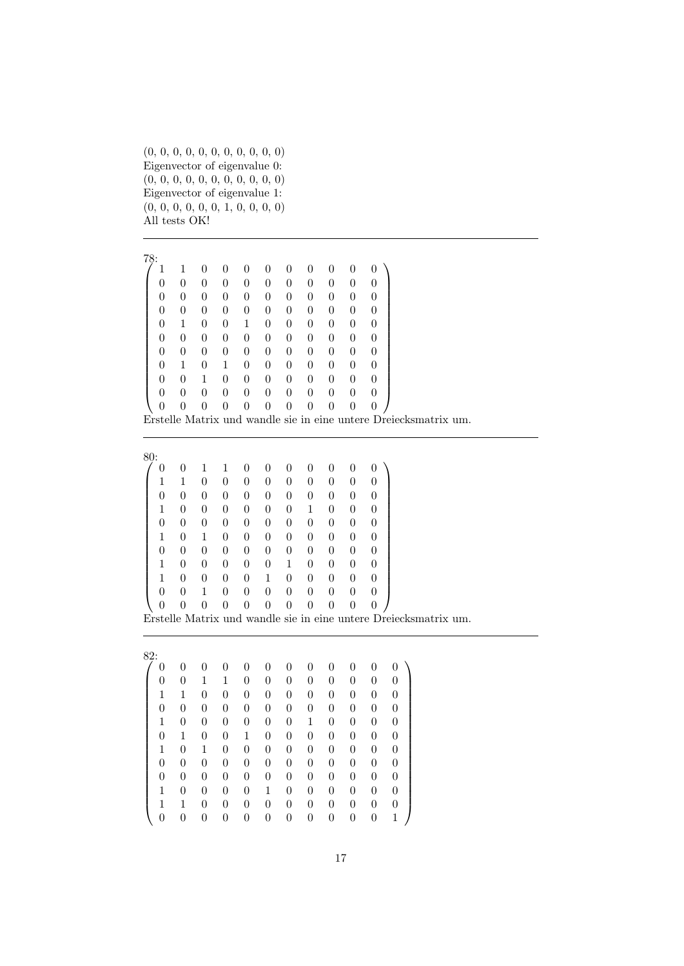(0, 0, 0, 0, 0, 0, 0, 0, 0, 0, 0) Eigenvector of eigenvalue 0: (0, 0, 0, 0, 0, 0, 0, 0, 0, 0, 0) Eigenvector of eigenvalue 1: (0, 0, 0, 0, 0, 0, 1, 0, 0, 0, 0) All tests OK!

 $\frac{78}{1}$  $\sqrt{ }$  1 1 0 0 0 0 0 0 0 0 0 0 0 0 0 0 0 0 0 0 0 0 0 0 0 0 0 0 0 0 0 0 0 0 0 0 0 0 0 0 0 0 0 0 0 1 0 0 1 0 0 0 0 0 0 0 0 0 0 0 0 0 0 0 0 0 0 0 0 0 0 0 0 0 0 0 0 0 1 0 1 0 0 0 0 0 0 0 0 0 1 0 0 0 0 0 0 0 0 0 0 0 0 0 0 0 0 0 0 0 0 0 0 0 0 0 0 0 0 0 0  $\setminus$  Erstelle Matrix und wandle sie in eine untere Dreiecksmatrix um.

| 80: |   |   |                |   |          |   |   |   |   |   |  |
|-----|---|---|----------------|---|----------|---|---|---|---|---|--|
| 0   | 0 |   | 1              | 0 | $\theta$ | 0 | 0 | 0 | 0 | 0 |  |
|     | 1 | 0 | $\overline{0}$ | 0 | 0        | 0 | 0 | 0 | 0 | 0 |  |
| 0   | 0 | 0 | 0              | 0 | 0        | 0 | 0 | 0 | 0 | 0 |  |
| 1   | 0 | 0 | 0              | 0 | 0        | 0 | 1 | 0 | 0 | 0 |  |
| 0   | 0 | 0 | 0              | 0 | 0        | 0 | 0 | 0 | 0 | 0 |  |
| 1   | 0 | 1 | $\overline{0}$ | 0 | 0        | 0 | 0 | 0 | 0 | 0 |  |
| 0   | 0 | 0 | $\overline{0}$ | 0 | 0        | 0 | 0 | 0 | 0 | 0 |  |
| 1   | 0 | 0 | $\overline{0}$ | 0 | 0        | 1 | 0 | 0 | 0 | 0 |  |
| 1   | 0 | 0 | 0              | 0 | 1        | 0 | 0 | 0 | 0 | 0 |  |
| 0   | 0 | 1 | 0              | 0 | 0        | 0 | 0 | 0 | 0 | 0 |  |
| 0   | 0 |   | 0              | 0 | 0        | 0 | 0 | 0 | 0 | 0 |  |

Erstelle Matrix und wandle sie in eine untere Dreiecksmatrix um.

| 82: |   |   |   |                |   |   |   |   |   |   |                |                |
|-----|---|---|---|----------------|---|---|---|---|---|---|----------------|----------------|
|     | 0 | 0 | 0 | 0              | 0 | 0 | 0 | 0 | 0 | 0 | 0              |                |
|     | 0 | 0 | 1 | 1              | 0 | 0 | 0 | 0 | 0 | 0 | 0              | 0              |
|     | 1 | 1 | 0 | $\overline{0}$ | 0 | 0 | 0 | 0 | 0 | 0 | 0              | $\overline{0}$ |
|     | 0 | 0 | 0 | $\overline{0}$ | 0 | 0 | 0 | 0 | 0 | 0 | 0              | $\overline{0}$ |
|     | 1 | 0 | 0 | $\overline{0}$ | 0 | 0 | 0 | 1 | 0 | 0 | 0              | $\overline{0}$ |
|     | 0 | 1 | 0 | $\overline{0}$ | 1 | 0 | 0 | 0 | 0 | 0 | 0              | 0              |
|     | 1 | 0 | 1 | $\overline{0}$ | 0 | 0 | 0 | 0 | 0 | 0 | 0              | 0              |
|     | 0 | 0 | 0 | $\overline{0}$ | 0 | 0 | 0 | 0 | 0 | 0 | 0              | 0              |
|     | 0 | 0 | 0 | $\overline{0}$ | 0 | 0 | 0 | 0 | 0 | 0 | 0              | 0              |
|     | 1 | 0 | 0 | $\overline{0}$ | 0 | 1 | 0 | 0 | 0 | 0 | 0              | 0              |
|     | 1 | 1 | 0 | $\overline{0}$ | 0 | 0 | 0 | 0 | 0 | 0 | $\overline{0}$ | 0              |
|     | 0 | 0 |   |                | 0 | 0 | 0 | 0 | 0 | 0 | 0              | 1              |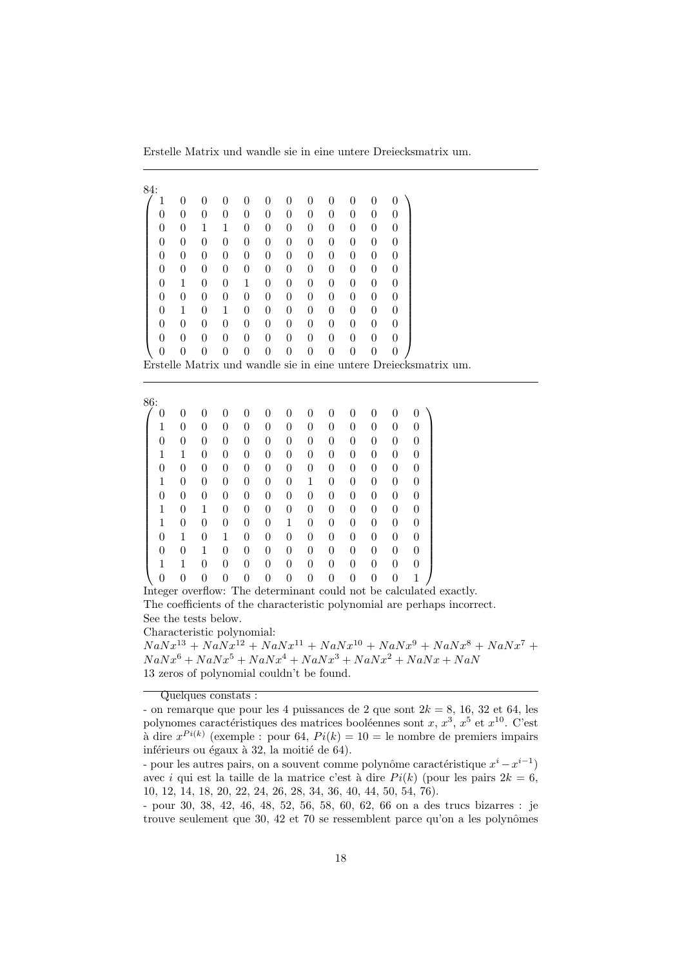Erstelle Matrix und wandle sie in eine untere Dreiecksmatrix um.

| 84:            |                |                |                |                |                |                |                |                |                |                |          |  |
|----------------|----------------|----------------|----------------|----------------|----------------|----------------|----------------|----------------|----------------|----------------|----------|--|
| 1              |                | 0              | $\theta$       | 0              | 0              |                | 0              | 0              |                |                | 0        |  |
| 0              | 0              | 0              | $\theta$       | 0              | 0              | 0              | 0              | $\overline{0}$ | 0              | 0              | 0        |  |
| $\overline{0}$ | $\theta$       | 1              |                | $\overline{0}$ | $\overline{0}$ | 0              | $\overline{0}$ | $\overline{0}$ | $\theta$       | $\overline{0}$ | $\theta$ |  |
| 0              | $\theta$       | $\overline{0}$ | $\theta$       | 0              | 0              | $\theta$       | $\theta$       | $\overline{0}$ | 0              | 0              | 0        |  |
| 0              | $\overline{0}$ | $\overline{0}$ | $\theta$       | $\overline{0}$ | $\overline{0}$ | $\theta$       | $\overline{0}$ | $\overline{0}$ | 0              | $\overline{0}$ | $\theta$ |  |
| 0              | 0              | 0              | $\theta$       | 0              | 0              | $\theta$       | 0              | $\overline{0}$ | 0              | 0              | 0        |  |
| $\overline{0}$ | 1              | 0              | $\overline{0}$ | 1              | $\overline{0}$ | $\overline{0}$ | 0              | $\overline{0}$ | $\overline{0}$ | $\theta$       | $\theta$ |  |
| 0              | $\theta$       | $\overline{0}$ | $\theta$       | 0              | 0              | $\theta$       | $\theta$       | $\overline{0}$ | 0              | 0              | 0        |  |
| 0              | 1              | 0              | 1              | $\overline{0}$ | $\overline{0}$ | $\theta$       | $\overline{0}$ | $\overline{0}$ | 0              | $\overline{0}$ | $\theta$ |  |
| 0              | 0              | 0              | $\theta$       | 0              | 0              | $\theta$       | 0              | $\overline{0}$ | 0              | 0              | 0        |  |
| $\overline{0}$ | $\theta$       | 0              | $\theta$       | $\overline{0}$ | 0              | $\theta$       | 0              | $\overline{0}$ | $\overline{0}$ | $\overline{0}$ | $\theta$ |  |
| 0              | 0              |                | 0              |                |                | 0              | 0              | 0              |                | $\overline{0}$ | $\theta$ |  |

Erstelle Matrix und wandle sie in eine untere Dreiecksmatrix um.

| 86:      |   |   |   |                |   |                |                |   |   |   |   |   |
|----------|---|---|---|----------------|---|----------------|----------------|---|---|---|---|---|
| $\theta$ | 0 | 0 | 0 | 0              | U | 0              | 0              | 0 | 0 | 0 | 0 | 0 |
| 1        | 0 | 0 | 0 | 0              | 0 | $\overline{0}$ | 0              | 0 | 0 | 0 | 0 | 0 |
| 0        | 0 | 0 | 0 | 0              | 0 | $\theta$       | 0              | 0 | 0 | 0 | 0 | 0 |
| 1        | 1 | 0 | 0 | 0              | 0 | $\theta$       | 0              | 0 | 0 | 0 | 0 | 0 |
| 0        | 0 | 0 | 0 | 0              | 0 | $\theta$       | $\overline{0}$ | 0 | 0 | 0 | 0 | 0 |
| 1        | 0 | 0 | 0 | 0              | 0 | $\overline{0}$ | 1              | 0 | 0 | 0 | 0 | 0 |
| 0        | 0 | 0 | 0 | $\overline{0}$ | 0 | $\overline{0}$ | $\overline{0}$ | 0 | 0 | 0 | 0 | 0 |
| 1        | 0 | 1 | 0 | 0              | 0 | 0              | 0              | 0 | 0 | 0 | 0 | 0 |
| 1        | 0 | 0 | 0 | 0              | 0 | 1              | 0              | 0 | 0 | 0 | 0 | 0 |
| 0        | 1 | 0 | 1 | 0              | 0 | 0              | 0              | 0 | 0 | 0 | 0 | 0 |
| 0        | 0 | 1 | 0 | 0              | 0 | 0              | 0              | 0 | 0 | 0 | 0 | 0 |
| 1        | 1 | 0 | 0 | 0              | 0 | 0              | $\theta$       | 0 | 0 | 0 | 0 | 0 |
| 0        | 0 |   | 0 | 0              |   | 0              | 0              | 0 | 0 |   | 0 | 1 |

Integer overflow: The determinant could not be calculated exactly. The coefficients of the characteristic polynomial are perhaps incorrect. See the tests below.

Characteristic polynomial:

 $N a N x^{13} + N a N x^{12} + N a N x^{11} + N a N x^{10} + N a N x^9 + N a N x^8 + N a N x^7 +$  $N a N x^6 + N a N x^5 + N a N x^4 + N a N x^3 + N a N x^2 + N a N x + N a N$ 13 zeros of polynomial couldn't be found.

Quelques constats :

<sup>-</sup> on remarque que pour les 4 puissances de 2 que sont  $2k = 8$ , 16, 32 et 64, les polynomes caractéristiques des matrices booléennes sont  $x, x^3, x^5$  et  $x^{10}$ . C'est à dire  $x^{Pi(k)}$  (exemple : pour 64,  $Pi(k) = 10 =$  le nombre de premiers impairs inférieurs ou égaux à 32, la moitié de 64).

<sup>-</sup> pour les autres pairs, on a souvent comme polynôme caractéristique  $x^{i} - x^{i-1}$ avec i qui est la taille de la matrice c'est à dire  $Pi(k)$  (pour les pairs  $2k = 6$ , 10, 12, 14, 18, 20, 22, 24, 26, 28, 34, 36, 40, 44, 50, 54, 76).

<sup>-</sup> pour 30, 38, 42, 46, 48, 52, 56, 58, 60, 62, 66 on a des trucs bizarres : je trouve seulement que  $30, 42$  et  $70$  se ressemblent parce qu'on a les polynômes